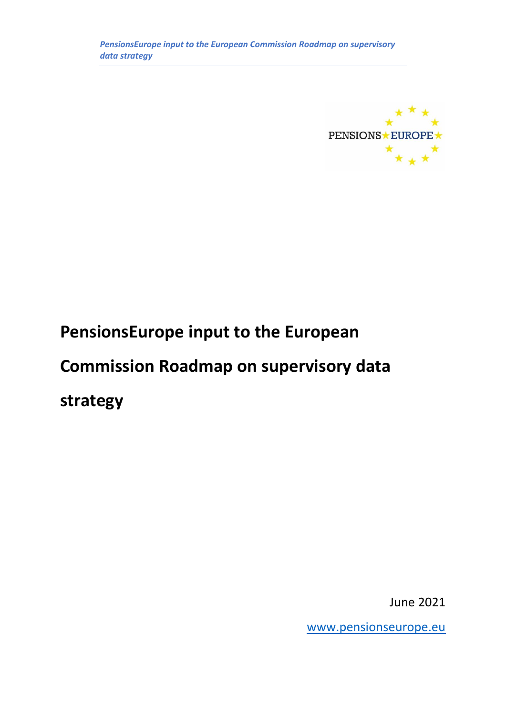

# **PensionsEurope input to the European**

# **Commission Roadmap on supervisory data**

**strategy**

June 2021

[www.pensionseurope.eu](http://www.pensionseurope.eu/)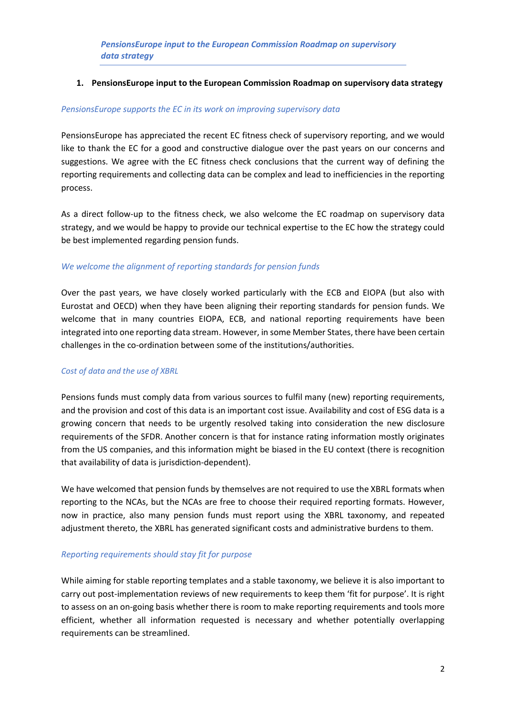#### **1. PensionsEurope input to the European Commission Roadmap on supervisory data strategy**

#### *PensionsEurope supports the EC in its work on improving supervisory data*

PensionsEurope has appreciated the recent EC fitness check of supervisory reporting, and we would like to thank the EC for a good and constructive dialogue over the past years on our concerns and suggestions. We agree with the EC fitness check conclusions that the current way of defining the reporting requirements and collecting data can be complex and lead to inefficiencies in the reporting process.

As a direct follow-up to the fitness check, we also welcome the EC roadmap on supervisory data strategy, and we would be happy to provide our technical expertise to the EC how the strategy could be best implemented regarding pension funds.

# *We welcome the alignment of reporting standards for pension funds*

Over the past years, we have closely worked particularly with the ECB and EIOPA (but also with Eurostat and OECD) when they have been aligning their reporting standards for pension funds. We welcome that in many countries EIOPA, ECB, and national reporting requirements have been integrated into one reporting data stream. However, in some Member States, there have been certain challenges in the co-ordination between some of the institutions/authorities.

# *Cost of data and the use of XBRL*

Pensions funds must comply data from various sources to fulfil many (new) reporting requirements, and the provision and cost of this data is an important cost issue. Availability and cost of ESG data is a growing concern that needs to be urgently resolved taking into consideration the new disclosure requirements of the SFDR. Another concern is that for instance rating information mostly originates from the US companies, and this information might be biased in the EU context (there is recognition that availability of data is jurisdiction-dependent).

We have welcomed that pension funds by themselves are not required to use the XBRL formats when reporting to the NCAs, but the NCAs are free to choose their required reporting formats. However, now in practice, also many pension funds must report using the XBRL taxonomy, and repeated adjustment thereto, the XBRL has generated significant costs and administrative burdens to them.

# *Reporting requirements should stay fit for purpose*

While aiming for stable reporting templates and a stable taxonomy, we believe it is also important to carry out post-implementation reviews of new requirements to keep them 'fit for purpose'. It is right to assess on an on-going basis whether there is room to make reporting requirements and tools more efficient, whether all information requested is necessary and whether potentially overlapping requirements can be streamlined.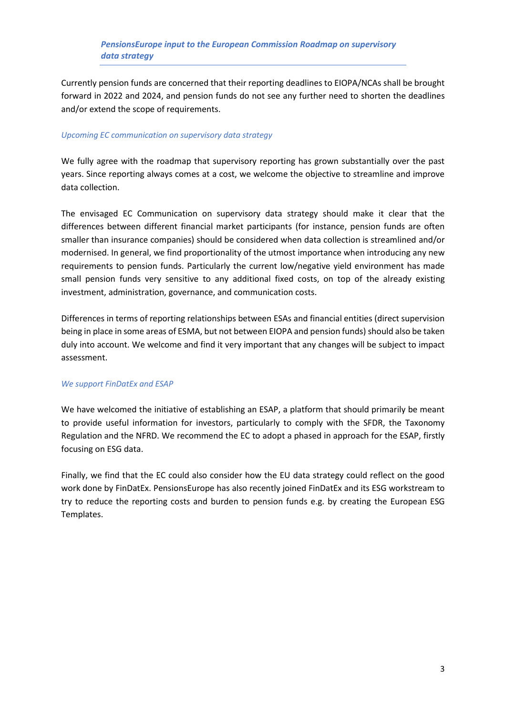# *PensionsEurope input to the European Commission Roadmap on supervisory data strategy*

Currently pension funds are concerned that their reporting deadlines to EIOPA/NCAs shall be brought forward in 2022 and 2024, and pension funds do not see any further need to shorten the deadlines and/or extend the scope of requirements.

#### *Upcoming EC communication on supervisory data strategy*

We fully agree with the roadmap that supervisory reporting has grown substantially over the past years. Since reporting always comes at a cost, we welcome the objective to streamline and improve data collection.

The envisaged EC Communication on supervisory data strategy should make it clear that the differences between different financial market participants (for instance, pension funds are often smaller than insurance companies) should be considered when data collection is streamlined and/or modernised. In general, we find proportionality of the utmost importance when introducing any new requirements to pension funds. Particularly the current low/negative yield environment has made small pension funds very sensitive to any additional fixed costs, on top of the already existing investment, administration, governance, and communication costs.

Differences in terms of reporting relationships between ESAs and financial entities (direct supervision being in place in some areas of ESMA, but not between EIOPA and pension funds) should also be taken duly into account. We welcome and find it very important that any changes will be subject to impact assessment.

# *We support FinDatEx and ESAP*

We have welcomed the initiative of establishing an ESAP, a platform that should primarily be meant to provide useful information for investors, particularly to comply with the SFDR, the Taxonomy Regulation and the NFRD. We recommend the EC to adopt a phased in approach for the ESAP, firstly focusing on ESG data.

Finally, we find that the EC could also consider how the EU data strategy could reflect on the good work done by FinDatEx. PensionsEurope has also recently joined FinDatEx and its ESG workstream to try to reduce the reporting costs and burden to pension funds e.g. by creating the European ESG Templates.